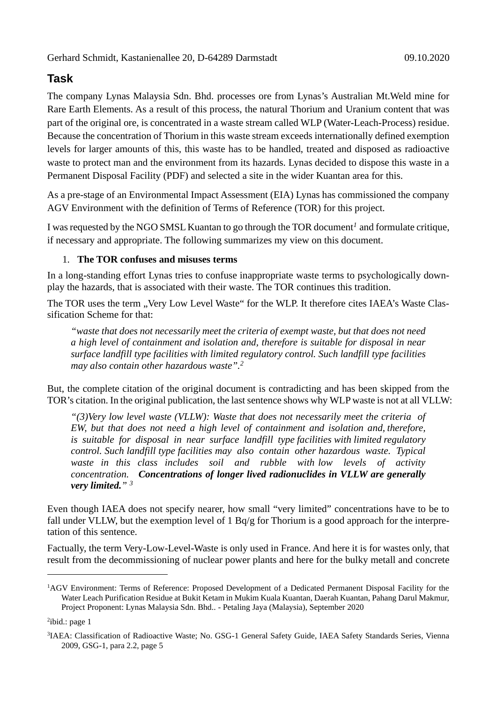## **Task**

The company Lynas Malaysia Sdn. Bhd. processes ore from Lynas's Australian Mt.Weld mine for Rare Earth Elements. As a result of this process, the natural Thorium and Uranium content that was part of the original ore, is concentrated in a waste stream called WLP (Water-Leach-Process) residue. Because the concentration of Thorium in this waste stream exceeds internationally defined exemption levels for larger amounts of this, this waste has to be handled, treated and disposed as radioactive waste to protect man and the environment from its hazards. Lynas decided to dispose this waste in a Permanent Disposal Facility (PDF) and selected a site in the wider Kuantan area for this.

As a pre-stage of an Environmental Impact Assessment (EIA) Lynas has commissioned the company AGV Environment with the definition of Terms of Reference (TOR) for this project.

I was requested by the NGO SMSL Kuantan to go through the TOR document*<sup>1</sup>* and formulate critique, if necessary and appropriate. The following summarizes my view on this document.

### 1. **The TOR confuses and misuses terms**

In a long-standing effort Lynas tries to confuse inappropriate waste terms to psychologically downplay the hazards, that is associated with their waste. The TOR continues this tradition.

The TOR uses the term "Very Low Level Waste" for the WLP. It therefore cites IAEA's Waste Classification Scheme for that:

*"waste that does not necessarily meet the criteria of exempt waste, but that does not need a high level of containment and isolation and, therefore is suitable for disposal in near surface landfill type facilities with limited regulatory control. Such landfill type facilities may also contain other hazardous waste".<sup>2</sup>*

But, the complete citation of the original document is contradicting and has been skipped from the TOR's citation. In the original publication, the last sentence shows why WLP waste is not at all VLLW:

*"(3)Very low level waste (VLLW): Waste that does not necessarily meet the criteria of EW, but that does not need a high level of containment and isolation and, therefore,*  is suitable for disposal in near surface landfill type facilities with limited regulatory *control. Such landfill type facilities may also contain other hazardous waste. Typical*  waste in this class includes soil and rubble with low levels of activity *concentration. Concentrations of longer lived radionuclides in VLLW are generally very limited." <sup>3</sup>*

Even though IAEA does not specify nearer, how small "very limited" concentrations have to be to fall under VLLW, but the exemption level of 1 Bq/g for Thorium is a good approach for the interpretation of this sentence.

Factually, the term Very-Low-Level-Waste is only used in France. And here it is for wastes only, that result from the decommissioning of nuclear power plants and here for the bulky metall and concrete

<sup>&</sup>lt;sup>1</sup>AGV Environment: Terms of Reference: Proposed Development of a Dedicated Permanent Disposal Facility for the Water Leach Purification Residue at Bukit Ketam in Mukim Kuala Kuantan, Daerah Kuantan, Pahang Darul Makmur, Project Proponent: Lynas Malaysia Sdn. Bhd.. - Petaling Jaya (Malaysia), September 2020

<sup>&</sup>lt;sup>2</sup>ibid.: page 1

<sup>&</sup>lt;sup>3</sup>IAEA: Classification of Radioactive Waste; No. GSG-1 General Safety Guide, IAEA Safety Standards Series, Vienna 2009[, GSG-1,](https://www-pub.iaea.org/MTCD/Publications/PDF/Pub1419_web.pdf) para 2.2, page 5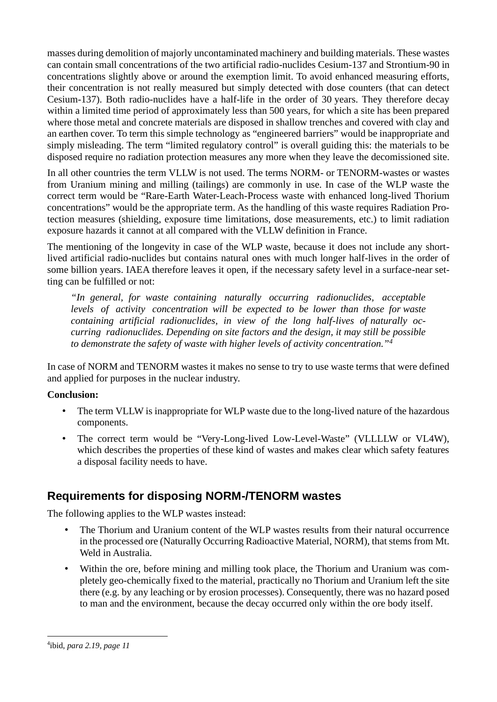masses during demolition of majorly uncontaminated machinery and building materials. These wastes can contain small concentrations of the two artificial radio-nuclides Cesium-137 and Strontium-90 in concentrations slightly above or around the exemption limit. To avoid enhanced measuring efforts, their concentration is not really measured but simply detected with dose counters (that can detect Cesium-137). Both radio-nuclides have a half-life in the order of 30 years. They therefore decay within a limited time period of approximately less than 500 years, for which a site has been prepared where those metal and concrete materials are disposed in shallow trenches and covered with clay and an earthen cover. To term this simple technology as "engineered barriers" would be inappropriate and simply misleading. The term "limited regulatory control" is overall guiding this: the materials to be disposed require no radiation protection measures any more when they leave the decomissioned site.

In all other countries the term VLLW is not used. The terms NORM- or TENORM-wastes or wastes from Uranium mining and milling (tailings) are commonly in use. In case of the WLP waste the correct term would be "Rare-Earth Water-Leach-Process waste with enhanced long-lived Thorium concentrations" would be the appropriate term. As the handling of this waste requires Radiation Protection measures (shielding, exposure time limitations, dose measurements, etc.) to limit radiation exposure hazards it cannot at all compared with the VLLW definition in France.

The mentioning of the longevity in case of the WLP waste, because it does not include any shortlived artificial radio-nuclides but contains natural ones with much longer half-lives in the order of some billion years. IAEA therefore leaves it open, if the necessary safety level in a surface-near setting can be fulfilled or not:

*"In general, for waste containing naturally occurring radionuclides, acceptable levels of activity concentration will be expected to be lower than those for waste containing artificial radionuclides, in view of the long half-lives of naturally occurring radionuclides. Depending on site factors and the design, it may still be possible to demonstrate the safety of waste with higher levels of activity concentration."<sup>4</sup>*

In case of NORM and TENORM wastes it makes no sense to try to use waste terms that were defined and applied for purposes in the nuclear industry.

## **Conclusion:**

- The term VLLW is inappropriate for WLP waste due to the long-lived nature of the hazardous components.
- The correct term would be "Very-Long-lived Low-Level-Waste" (VLLLLW or VL4W), which describes the properties of these kind of wastes and makes clear which safety features a disposal facility needs to have.

# **Requirements for disposing NORM-/TENORM wastes**

The following applies to the WLP wastes instead:

- The Thorium and Uranium content of the WLP wastes results from their natural occurrence in the processed ore (Naturally Occurring Radioactive Material, NORM), that stems from Mt. Weld in Australia.
- Within the ore, before mining and milling took place, the Thorium and Uranium was completely geo-chemically fixed to the material, practically no Thorium and Uranium left the site there (e.g. by any leaching or by erosion processes). Consequently, there was no hazard posed to man and the environment, because the decay occurred only within the ore body itself.